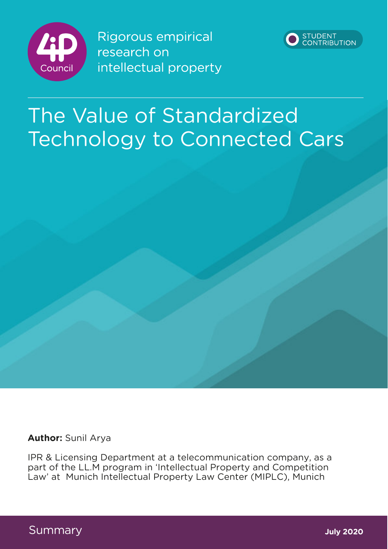

Rigorous empirical research on intellectual property



# The Value of Standardized Technology to Connected Cars

**Author:** Sunil Arya

IPR & Licensing Department at a telecommunication company, as a part of the LL.M program in 'Intellectual Property and Competition Law' at Munich Intellectual Property Law Center (MIPLC), Munich

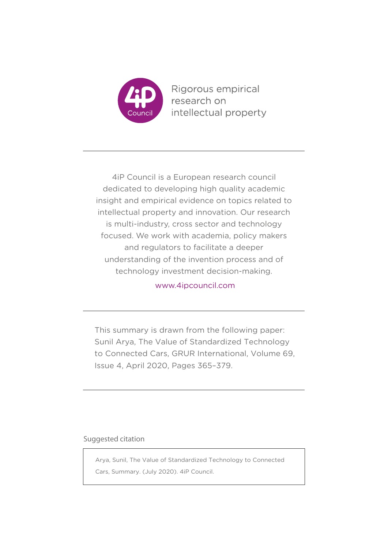

Rigorous empirical research on intellectual property

4iP Council is a European research council dedicated to developing high quality academic insight and empirical evidence on topics related to intellectual property and innovation. Our research is multi-industry, cross sector and technology focused. We work with academia, policy makers and regulators to facilitate a deeper understanding of the invention process and of technology investment decision-making.

www.4ipcouncil.com

This summary is drawn from the following paper: Sunil Arya, The Value of Standardized Technology to Connected Cars, GRUR International, Volume 69, Issue 4, April 2020, Pages 365–379.

### Suggested citation

Arya, Sunil, The Value of Standardized Technology to Connected Cars, Summary. (July 2020). 4iP Council.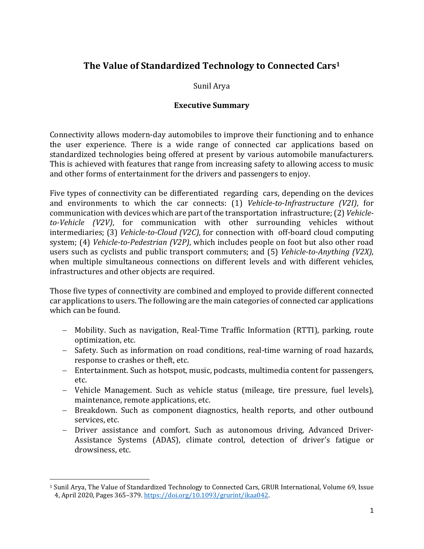## **The Value of Standardized Technology to Connected Cars<sup>1</sup>**

## Sunil Arya

### **Executive Summary**

Connectivity allows modern-day automobiles to improve their functioning and to enhance the user experience. There is a wide range of connected car applications based on standardized technologies being offered at present by various automobile manufacturers. This is achieved with features that range from increasing safety to allowing access to music and other forms of entertainment for the drivers and passengers to enjoy.

Five types of connectivity can be differentiated regarding cars, depending on the devices and environments to which the car connects: (1) *Vehicle-to-Infrastructure (V2I)*, for communication with devices which are part of the transportation infrastructure; (2) *Vehicle*to-Vehicle (V2V), for communication with other surrounding vehicles without intermediaries; (3) *Vehicle-to-Cloud (V2C)*, for connection with off-board cloud computing system; (4) *Vehicle-to-Pedestrian (V2P)*, which includes people on foot but also other road users such as cyclists and public transport commuters; and (5) *Vehicle-to-Anything (V2X)*, when multiple simultaneous connections on different levels and with different vehicles, infrastructures and other objects are required.

Those five types of connectivity are combined and employed to provide different connected car applications to users. The following are the main categories of connected car applications which can be found.

- Mobility. Such as navigation, Real-Time Traffic Information (RTTI), parking, route optimization, etc.
- Safety. Such as information on road conditions, real-time warning of road hazards, response to crashes or theft, etc.
- Entertainment. Such as hotspot, music, podcasts, multimedia content for passengers, etc.
- Vehicle Management. Such as vehicle status (mileage, tire pressure, fuel levels), maintenance, remote applications, etc.
- Breakdown. Such as component diagnostics, health reports, and other outbound services, etc.
- Driver assistance and comfort. Such as autonomous driving, Advanced Driver-Assistance Systems (ADAS), climate control, detection of driver's fatigue or drowsiness, etc.

<sup>&</sup>lt;sup>1</sup> Sunil Arya, The Value of Standardized Technology to Connected Cars, GRUR International, Volume 69, Issue 4, April 2020, Pages 365-379. https://doi.org/10.1093/grurint/ikaa042.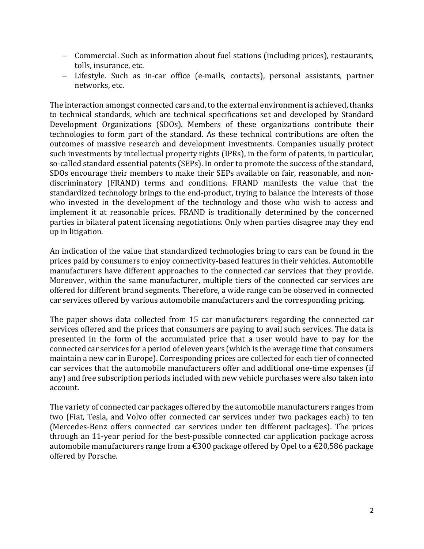- Commercial. Such as information about fuel stations (including prices), restaurants, tolls, insurance, etc.
- Lifestyle. Such as in-car office (e-mails, contacts), personal assistants, partner networks, etc.

The interaction amongst connected cars and, to the external environment is achieved, thanks to technical standards, which are technical specifications set and developed by Standard Development Organizations (SDOs). Members of these organizations contribute their technologies to form part of the standard. As these technical contributions are often the outcomes of massive research and development investments. Companies usually protect such investments by intellectual property rights (IPRs), in the form of patents, in particular, so-called standard essential patents (SEPs). In order to promote the success of the standard, SDOs encourage their members to make their SEPs available on fair, reasonable, and nondiscriminatory (FRAND) terms and conditions. FRAND manifests the value that the standardized technology brings to the end-product, trying to balance the interests of those who invested in the development of the technology and those who wish to access and implement it at reasonable prices. FRAND is traditionally determined by the concerned parties in bilateral patent licensing negotiations. Only when parties disagree may they end up in litigation.

An indication of the value that standardized technologies bring to cars can be found in the prices paid by consumers to enjoy connectivity-based features in their vehicles. Automobile manufacturers have different approaches to the connected car services that they provide. Moreover, within the same manufacturer, multiple tiers of the connected car services are offered for different brand segments. Therefore, a wide range can be observed in connected car services offered by various automobile manufacturers and the corresponding pricing.

The paper shows data collected from 15 car manufacturers regarding the connected car services offered and the prices that consumers are paying to avail such services. The data is presented in the form of the accumulated price that a user would have to pay for the connected car services for a period of eleven years (which is the average time that consumers maintain a new car in Europe). Corresponding prices are collected for each tier of connected car services that the automobile manufacturers offer and additional one-time expenses (if any) and free subscription periods included with new vehicle purchases were also taken into account.

The variety of connected car packages offered by the automobile manufacturers ranges from two (Fiat, Tesla, and Volvo offer connected car services under two packages each) to ten (Mercedes-Benz offers connected car services under ten different packages). The prices through an 11-year period for the best-possible connected car application package across automobile manufacturers range from a  $\epsilon$ 300 package offered by Opel to a  $\epsilon$ 20,586 package offered by Porsche.